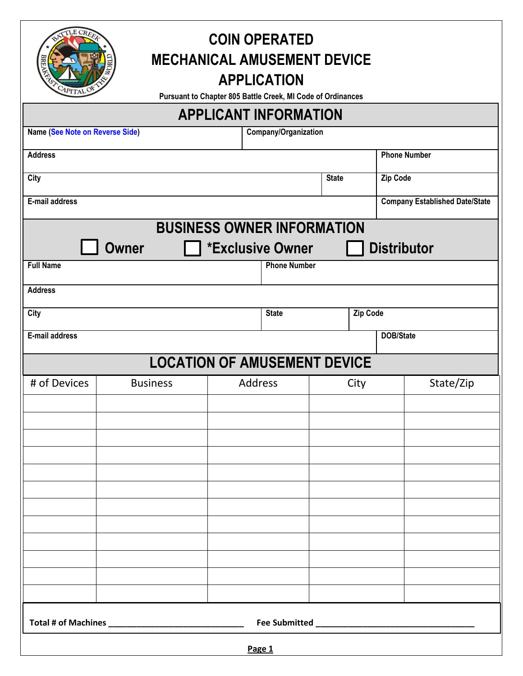| CLE CREET  |  |
|------------|--|
|            |  |
| CAPITAL OF |  |

## **COIN OPERATED MECHANICAL AMUSEMENT DEVICE APPLICATION**

**Pursuant to Chapter 805 Battle Creek, MI Code of Ordinances** 

| <b>APPLICANT INFORMATION</b>           |                 |  |                                   |                                 |      |                                       |                  |  |
|----------------------------------------|-----------------|--|-----------------------------------|---------------------------------|------|---------------------------------------|------------------|--|
| <b>Name (See Note on Reverse Side)</b> |                 |  | Company/Organization              |                                 |      |                                       |                  |  |
| <b>Address</b>                         |                 |  |                                   |                                 |      | <b>Phone Number</b>                   |                  |  |
| <b>City</b>                            |                 |  |                                   | <b>State</b><br><b>Zip Code</b> |      |                                       |                  |  |
| E-mail address                         |                 |  |                                   |                                 |      | <b>Company Established Date/State</b> |                  |  |
|                                        |                 |  | <b>BUSINESS OWNER INFORMATION</b> |                                 |      |                                       |                  |  |
|                                        | <b>Owner</b>    |  | <b>*Exclusive Owner</b>           |                                 |      | <b>Distributor</b>                    |                  |  |
| <b>Full Name</b>                       |                 |  | <b>Phone Number</b>               |                                 |      |                                       |                  |  |
| <b>Address</b>                         |                 |  |                                   |                                 |      |                                       |                  |  |
| <b>City</b>                            |                 |  |                                   | <b>Zip Code</b><br><b>State</b> |      |                                       |                  |  |
| E-mail address                         |                 |  |                                   |                                 |      |                                       | <b>DOB/State</b> |  |
| <b>LOCATION OF AMUSEMENT DEVICE</b>    |                 |  |                                   |                                 |      |                                       |                  |  |
| # of Devices                           | <b>Business</b> |  | Address                           |                                 | City |                                       | State/Zip        |  |
|                                        |                 |  |                                   |                                 |      |                                       |                  |  |
|                                        |                 |  |                                   |                                 |      |                                       |                  |  |
|                                        |                 |  |                                   |                                 |      |                                       |                  |  |
|                                        |                 |  |                                   |                                 |      |                                       |                  |  |
|                                        |                 |  |                                   |                                 |      |                                       |                  |  |
|                                        |                 |  |                                   |                                 |      |                                       |                  |  |
|                                        |                 |  |                                   |                                 |      |                                       |                  |  |
|                                        |                 |  |                                   |                                 |      |                                       |                  |  |
|                                        |                 |  |                                   |                                 |      |                                       |                  |  |
|                                        |                 |  |                                   |                                 |      |                                       |                  |  |
|                                        |                 |  |                                   |                                 |      |                                       |                  |  |
| Page 1                                 |                 |  |                                   |                                 |      |                                       |                  |  |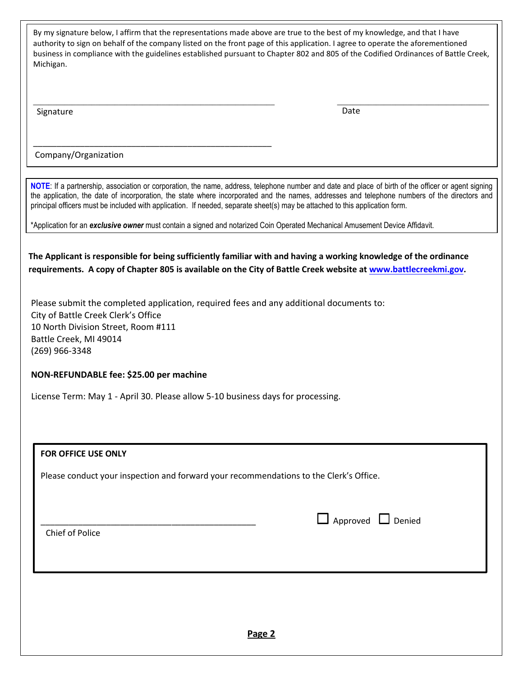By my signature below, I affirm that the representations made above are true to the best of my knowledge, and that I have authority to sign on behalf of the company listed on the front page of this application. I agree to operate the aforementioned business in compliance with the guidelines established pursuant to Chapter 802 and 805 of the Codified Ordinances of Battle Creek, Michigan.

 $\_$  , and the set of the set of the set of the set of the set of the set of the set of the set of the set of the set of the set of the set of the set of the set of the set of the set of the set of the set of the set of th

Signature **Date** 

Company/Organization

\_\_\_\_\_\_\_\_\_\_\_\_\_\_\_\_\_\_\_\_\_\_\_\_\_\_\_\_\_\_\_\_\_\_\_\_\_\_\_\_\_\_\_\_\_\_\_\_\_\_\_

**NOTE**: If a partnership, association or corporation, the name, address, telephone number and date and place of birth of the officer or agent signing the application, the date of incorporation, the state where incorporated and the names, addresses and telephone numbers of the directors and principal officers must be included with application. If needed, separate sheet(s) may be attached to this application form.

\*Application for an *exclusive owner* must contain a signed and notarized Coin Operated Mechanical Amusement Device Affidavit.

**The Applicant is responsible for being sufficiently familiar with and having a working knowledge of the ordinance requirements. A copy of Chapter 805 is available on the City of Battle Creek website at [www.battlecreekmi.gov.](http://www.battlecreekmi.gov/)** 

Please submit the completed application, required fees and any additional documents to: City of Battle Creek Clerk's Office 10 North Division Street, Room #111 Battle Creek, MI 49014 (269) 966-3348

## **NON-REFUNDABLE fee: \$25.00 per machine**

License Term: May 1 - April 30. Please allow 5-10 business days for processing.

| <b>FOR OFFICE USE ONLY</b>                                                             |                               |
|----------------------------------------------------------------------------------------|-------------------------------|
| Please conduct your inspection and forward your recommendations to the Clerk's Office. |                               |
|                                                                                        |                               |
| Chief of Police                                                                        | $\Box$ Approved $\Box$ Denied |
|                                                                                        |                               |
|                                                                                        |                               |